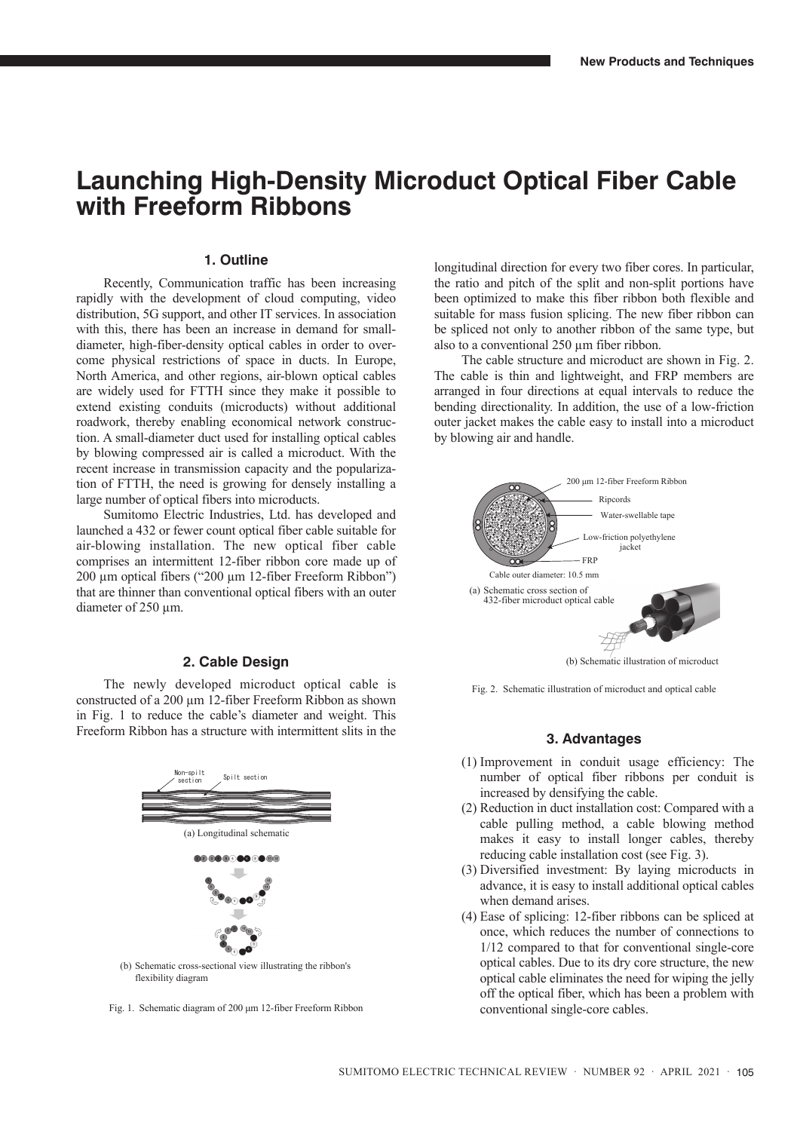## **Launching High-Density Microduct Optical Fiber Cable with Freeform Ribbons**

## **1. Outline**

Recently, Communication traffic has been increasing rapidly with the development of cloud computing, video distribution, 5G support, and other IT services. In association with this, there has been an increase in demand for smalldiameter, high-fiber-density optical cables in order to overcome physical restrictions of space in ducts. In Europe, North America, and other regions, air-blown optical cables are widely used for FTTH since they make it possible to extend existing conduits (microducts) without additional roadwork, thereby enabling economical network construction. A small-diameter duct used for installing optical cables by blowing compressed air is called a microduct. With the recent increase in transmission capacity and the popularization of FTTH, the need is growing for densely installing a large number of optical fibers into microducts.

Sumitomo Electric Industries, Ltd. has developed and launched a 432 or fewer count optical fiber cable suitable for air-blowing installation. The new optical fiber cable comprises an intermittent 12-fiber ribbon core made up of 200 µm optical fibers ("200 µm 12-fiber Freeform Ribbon") that are thinner than conventional optical fibers with an outer diameter of 250 µm.

## **2. Cable Design**

The newly developed microduct optical cable is constructed of a 200 µm 12-fiber Freeform Ribbon as shown in Fig. 1 to reduce the cable's diameter and weight. This Freeform Ribbon has a structure with intermittent slits in the



flexibility diagram

Fig. 1. Schematic diagram of 200 μm 12-fiber Freeform Ribbon

longitudinal direction for every two fiber cores. In particular, the ratio and pitch of the split and non-split portions have been optimized to make this fiber ribbon both flexible and suitable for mass fusion splicing. The new fiber ribbon can be spliced not only to another ribbon of the same type, but also to a conventional 250 µm fiber ribbon.

The cable structure and microduct are shown in Fig. 2. The cable is thin and lightweight, and FRP members are arranged in four directions at equal intervals to reduce the bending directionality. In addition, the use of a low-friction outer jacket makes the cable easy to install into a microduct by blowing air and handle.



Fig. 2. Schematic illustration of microduct and optical cable

## **3. Advantages**

- (1) Improvement in conduit usage efficiency: The number of optical fiber ribbons per conduit is increased by densifying the cable.
- (2) Reduction in duct installation cost: Compared with a cable pulling method, a cable blowing method makes it easy to install longer cables, thereby reducing cable installation cost (see Fig. 3).
- (3) Diversified investment: By laying microducts in advance, it is easy to install additional optical cables when demand arises.
- (4) Ease of splicing: 12-fiber ribbons can be spliced at once, which reduces the number of connections to 1/12 compared to that for conventional single-core optical cables. Due to its dry core structure, the new optical cable eliminates the need for wiping the jelly off the optical fiber, which has been a problem with conventional single-core cables.